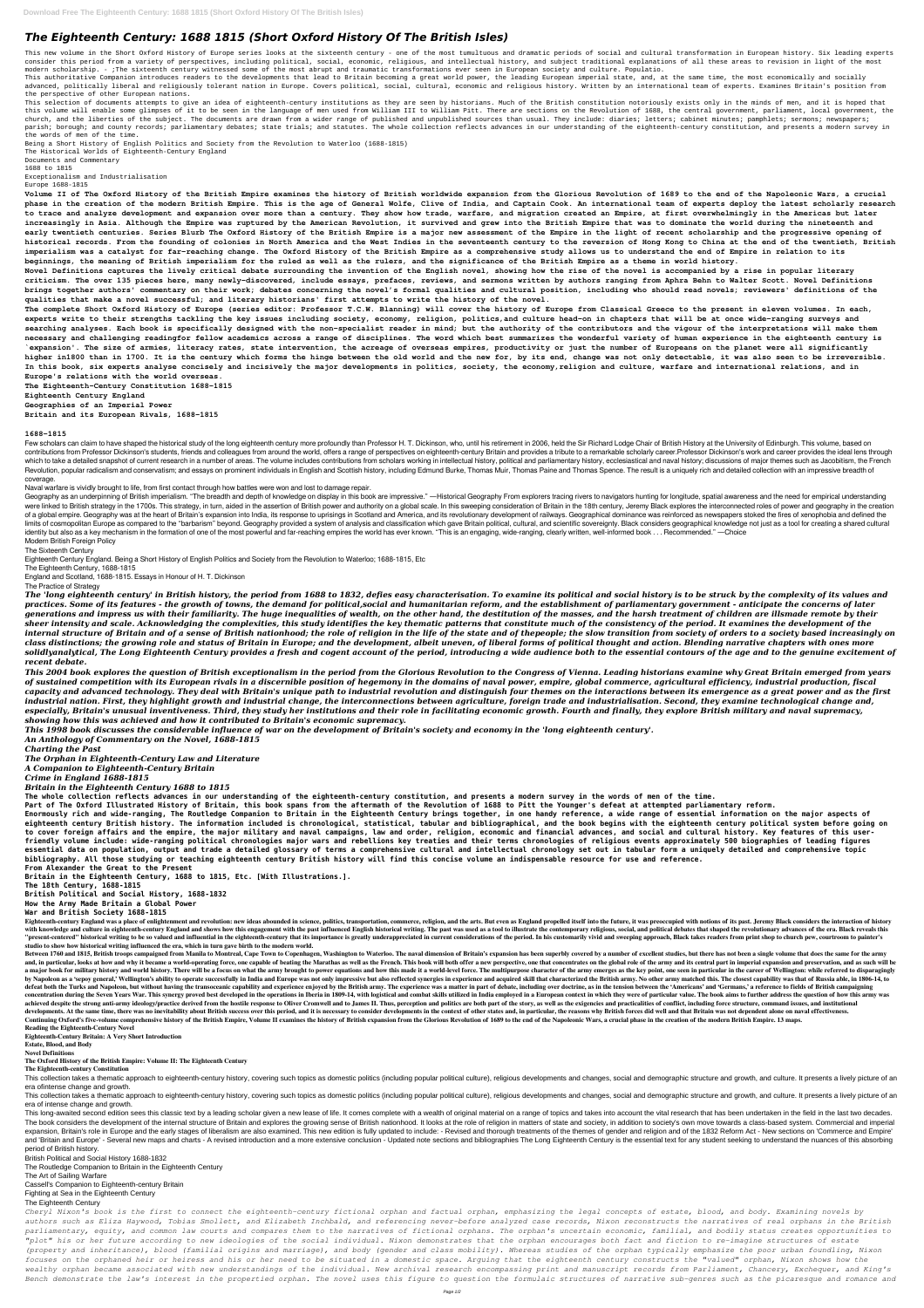## *The Eighteenth Century: 1688 1815 (Short Oxford History Of The British Isles)*

This new volume in the Short Oxford History of Europe series looks at the sixteenth century - one of the most tumultuous and dramatic periods of social and cultural transformation in European history. Six leading experts consider this period from a variety of perspectives, including political, social, economic, religious, and intellectual history, and subject traditional explanations of all these areas to revision in light of the most modern scholarship. - ;The sixteenth century witnessed some of the most abrupt and traumatic transformations ever seen in European society and culture. Populatio.

This authoritative Companion introduces readers to the developments that lead to Britain becoming a great world power, the leading European imperial state, and, at the same time, the most economically and socially advanced, politically liberal and religiously tolerant nation in Europe. Covers political, social, cultural, economic and religious history. Written by an international team of experts. Examines Britain's position from the perspective of other European nations.

This selection of documents attempts to give an idea of eighteenth-century institutions as they are seen by historians. Much of the British constitution notoriously exists only in the minds of men, and it is hoped that this volume will enable some glimpses of it to be seen in the language of men used from William III to William Pitt. There are sections on the Revolution of 1688, the central government, parliament, local government, the church, and the liberties of the subject. The documents are drawn from a wider range of published and unpublished sources than usual. They include: diaries; letters; cabinet minutes; pamphlets; sermons; newspapers; parish; borough; and county records; parliamentary debates; state trials; and statutes. The whole collection reflects advances in our understanding of the eighteenth-century constitution, and presents a modern survey in the words of men of the time.

Being a Short History of English Politics and Society from the Revolution to Waterloo (1688-1815) The Historical Worlds of Eighteenth-Century England Documents and Commentary 1688 to 1815

Exceptionalism and Industrialisation Europe 1688-1815

**Volume II of The Oxford History of the British Empire examines the history of British worldwide expansion from the Glorious Revolution of 1689 to the end of the Napoleonic Wars, a crucial phase in the creation of the modern British Empire. This is the age of General Wolfe, Clive of India, and Captain Cook. An international team of experts deploy the latest scholarly research to trace and analyze development and expansion over more than a century. They show how trade, warfare, and migration created an Empire, at first overwhelmingly in the Americas but later increasingly in Asia. Although the Empire was ruptured by the American Revolution, it survived and grew into the British Empire that was to dominate the world during the nineteenth and early twentieth centuries. Series Blurb The Oxford History of the British Empire is a major new assessment of the Empire in the light of recent scholarship and the progressive opening of historical records. From the founding of colonies in North America and the West Indies in the seventeenth century to the reversion of Hong Kong to China at the end of the twentieth, British imperialism was a catalyst for far-reaching change. The Oxford History of the British Empire as a comprehensive study allows us to understand the end of Empire in relation to its beginnings, the meaning of British imperialism for the ruled as well as the rulers, and the significance of the British Empire as a theme in world history.**

Few scholars can claim to have shaped the historical study of the long eighteenth century more profoundly than Professor H. T. Dickinson, who, until his retirement in 2006, held the Sir Richard Lodge Chair of British Histo contributions from Professor Dickinson's students, friends and colleagues from around the world, offers a range of perspectives on eighteenth-century Britain and provides a tribute to a remarkable scholarly career. Profess which to take a detailed snapshot of current research in a number of areas. The volume includes contributions from scholars working in intellectual history, political and parliamentary history, ecclesiastical and naval his Revolution, popular radicalism and conservatism; and essays on prominent individuals in English and Scottish history, including Edmund Burke, Thomas Paine and Thomas Spence. The result is a uniquely rich and detailed colle coverage.

**Novel Definitions captures the lively critical debate surrounding the invention of the English novel, showing how the rise of the novel is accompanied by a rise in popular literary criticism. The over 135 pieces here, many newly-discovered, include essays, prefaces, reviews, and sermons written by authors ranging from Aphra Behn to Walter Scott. Novel Definitions brings together authors' commentary on their work; debates concerning the novel's formal qualities and cultural position, including who should read novels; reviewers' definitions of the qualities that make a novel successful; and literary historians' first attempts to write the history of the novel.**

Geography as an underpinning of British imperialism. "The breadth and depth of knowledge on display in this book are impressive." - Historical Geography From explorers tracing rivers to navigators hunting for longitude, sp were linked to British strategy in the 1700s. This strategy, in turn, aided in the assertion of British power and authority on a global scale. In this sweeping consideration of Britain in the 18th century, Jeremy Black exp of a global empire. Geography was at the heart of Britain's expansion into India, its response to uprisings in Scotland and America, and its revolutionary development of railways. Geographical dominance was reinforced as n limits of cosmopolitan Europe as compared to the "barbarism" beyond. Geography provided a system of analysis and classification which gave Britain political, cultural, and scientific sovereignty. Black considers geographic identity but also as a key mechanism in the formation of one of the most powerful and far-reaching empires the world has ever known. "This is an engaging, wide-ranging, clearly written, well-informed book ... Recommended." Modern British Foreign Policy

**The complete Short Oxford History of Europe (series editor: Professor T.C.W. Blanning) will cover the history of Europe from Classical Greece to the present in eleven volumes. In each, experts write to their strengths tackling the key issues including society, economy, religion, politics,and culture head-on in chapters that will be at once wide-ranging surveys and searching analyses. Each book is specifically designed with the non-specialist reader in mind; but the authority of the contributors and the vigour of the interpretations will make them necessary and challenging readingfor fellow academics across a range of disciplines. The word which best summarizes the wonderful variety of human experience in the eighteenth century is `expansion'. The size of armies, literacy rates, state intervention, the acreage of overseas empires, productivity or just the number of Europeans on the planet were all significantly higher in1800 than in 1700. It is the century which forms the hinge between the old world and the new for, by its end, change was not only detectable, it was also seen to be irreversible. In this book, six experts analyse concisely and incisively the major developments in politics, society, the economy,religion and culture, warfare and international relations, and in Europe's relations with the world overseas.**

**The Eighteenth-Century Constitution 1688-1815 Eighteenth Century England**

**Geographies of an Imperial Power**

**Britain and its European Rivals, 1688–1815**

## **1688–1815**

Naval warfare is vividly brought to life, from first contact through how battles were won and lost to damage repair.

Eighteenth-century England was a place of enlightenment and revolution: new ideas abounded in science, politics, transportation, commerce, religion, and the arts. But even as England propelled itself into the future, it wa with knowledge and culture in eighteenth-century England and shows how this engagement with the past influenced English historical writing. The past was used as a tool to illustrate the contemporary religious, social, and "present-centered" historical writing to be so valued and influential in the eighteenth-century that its importance is greatly underappreciated in current considerations of the period. In his customarily vivid and sweeping **studio to show how historical writing influenced the era, which in turn gave birth to the modern world.**

The Sixteenth Century

Between 1760 and 1815, British troops campaigned from Manila to Montreal, Cape Town to Copenhagen, Washington to Waterloo. The naval dimension of Britain's expansion has been superbly covered by a number of excellent studi and, in particular, looks at how and why it became a world-operating force, one capable of beating the Marathas as well as the French. This book will both offer a new perspective, one that concentrates on the global role o a major book for military history and world history. There will be a focus on what the army brought to power equations and how this made it a world-level force. The multipurpose character of the army emerges as the key poi by Napoleon as a 'sepoy general,' Wellington's ability to operate successfully in India and Europe was not only impressive but also reflected synergies in experience and acquired skill that characterized the British army. defeat both the Turks and Napoleon, but without having the transoceanic capability and experience enjoyed by the British army. The experience was a matter in part of debate, including over doctrine, as in the tension betwe concentration during the Seven Years War. This synergy proved best developed in the operations in Iberia in 1809-14, with logistical and combat skills utilized in India emploved in a European context in which they were of achieved despite the strong anti-army ideology/practice derived from the hostile response to Oliver Cromwell and to James II. Thus, perception and politics are both part of the story, as well as the exigencies and practica developments. At the same time, there was no inevitability about British success over this period, and it is necessary to consider developments in the context of other states and, in particular, the reasons why British for Continuing Oxford's five-volume comprehensive history of the British Empire, Volume II examines the history of British expansion from the Glorious Revolution of 1689 to the end of the Napoleonic Wars, a crucial phase in th **Reading the Eighteenth-Century Novel**

Eighteenth Century England. Being a Short History of English Politics and Society from the Revolution to Waterloo; 1688-1815, Etc

The Eighteenth Century, 1688-1815

England and Scotland, 1688-1815. Essays in Honour of H. T. Dickinson

The Practice of Strategy

This collection takes a thematic approach to eighteenth-century history, covering such topics as domestic politics (including popular political culture), religious developments and changes, social and demographic structure era ofintense change and growth.

This collection takes a thematic approach to eighteenth-century history, covering such topics as domestic politics (including popular political culture), religious developments and changes, social and demographic structure era of intense change and growth.

*The 'long eighteenth century' in British history, the period from 1688 to 1832, defies easy characterisation. To examine its political and social history is to be struck by the complexity of its values and practices. Some of its features - the growth of towns, the demand for political,social and humanitarian reform, and the establishment of parliamentary government - anticipate the concerns of later generations and impress us with their familiarity. The huge inequalities of wealth, on the other hand, the destitution of the masses, and the harsh treatment of children are illsmade remote by their sheer intensity and scale. Acknowledging the complexities, this study identifies the key thematic patterns that constitute much of the consistency of the period. It examines the development of the internal structure of Britain and of a sense of British nationhood; the role of religion in the life of the state and of thepeople; the slow transition from society of orders to a society based increasingly on class distinctions; the growing role and status of Britain in Europe; and the development, albeit uneven, of liberal forms of political thought and action. Blending narrative chapters with ones more solidlyanalytical, The Long Eighteenth Century provides a fresh and cogent account of the period, introducing a wide audience both to the essential contours of the age and to the genuine excitement of recent debate.*

This long-awaited second edition sees this classic text by a leading scholar given a new lease of life. It comes complete with a wealth of original material on a range of topics and takes into account the vital research th The book considers the development of the internal structure of Britain and explores the growing sense of British nationhood. It looks at the role of religion in matters of state and society, in addition to society's own m expansion, Britain's role in Europe and the early stages of liberalism are also examined. This new edition is fully updated to include: - Revised and thorough treatments of the themes of gender and religion and of the 1832 and 'Britain and Europe' - Several new maps and charts - A revised introduction and a more extensive conclusion - Updated note sections and bibliographies The Long Eighteenth Century is the essential text for any student s period of British history.

*This 2004 book explores the question of British exceptionalism in the period from the Glorious Revolution to the Congress of Vienna. Leading historians examine why Great Britain emerged from years of sustained competition with its European rivals in a discernible position of hegemony in the domains of naval power, empire, global commerce, agricultural efficiency, industrial production, fiscal capacity and advanced technology. They deal with Britain's unique path to industrial revolution and distinguish four themes on the interactions between its emergence as a great power and as the first industrial nation. First, they highlight growth and industrial change, the interconnections between agriculture, foreign trade and industrialisation. Second, they examine technological change and, especially, Britain's unusual inventiveness. Third, they study her institutions and their role in facilitating economic growth. Fourth and finally, they explore British military and naval supremacy, showing how this was achieved and how it contributed to Britain's economic supremacy.*

*This 1998 book discusses the considerable influence of war on the development of Britain's society and economy in the 'long eighteenth century'.*

*An Anthology of Commentary on the Novel, 1688-1815*

*Charting the Past*

*The Orphan in Eighteenth-Century Law and Literature*

*A Companion to Eighteenth-Century Britain*

*Crime in England 1688-1815*

*Britain in the Eighteenth Century 1688 to 1815*

**The whole collection reflects advances in our understanding of the eighteenth-century constitution, and presents a modern survey in the words of men of the time.**

**Part of The Oxford Illustrated History of Britain, this book spans from the aftermath of the Revolution of 1688 to Pitt the Younger's defeat at attempted parliamentary reform.**

**Enormously rich and wide-ranging, The Routledge Companion to Britain in the Eighteenth Century brings together, in one handy reference, a wide range of essential information on the major aspects of eighteenth century British history. The information included is chronological, statistical, tabular and bibliographical, and the book begins with the eighteenth century political system before going on to cover foreign affairs and the empire, the major military and naval campaigns, law and order, religion, economic and financial advances, and social and cultural history. Key features of this userfriendly volume include: wide-ranging political chronologies major wars and rebellions key treaties and their terms chronologies of religious events approximately 500 biographies of leading figures essential data on population, output and trade a detailed glossary of terms a comprehensive cultural and intellectual chronology set out in tabular form a uniquely detailed and comprehensive topic bibliography. All those studying or teaching eighteenth century British history will find this concise volume an indispensable resource for use and reference.**

**From Alexander the Great to the Present**

**Britain in the Eighteenth Century, 1688 to 1815, Etc. [With Illustrations.].**

**The 18th Century, 1688-1815**

**British Political and Social History, 1688-1832**

**How the Army Made Britain a Global Power**

**War and British Society 1688-1815**

**Eighteenth-Century Britain: A Very Short Introduction**

**Estate, Blood, and Body**

**Novel Definitions**

**The Oxford History of the British Empire: Volume II: The Eighteenth Century**

**The Eighteenth-century Constitution**

British Political and Social History 1688-1832 The Routledge Companion to Britain in the Eighteenth Century The Art of Sailing Warfare Cassell's Companion to Eighteenth-century Britain Fighting at Sea in the Eighteenth Century The Eighteenth Century

*Cheryl Nixon's book is the first to connect the eighteenth-century fictional orphan and factual orphan, emphasizing the legal concepts of estate, blood, and body. Examining novels by authors such as Eliza Haywood, Tobias Smollett, and Elizabeth Inchbald, and referencing never-before analyzed case records, Nixon reconstructs the narratives of real orphans in the British parliamentary, equity, and common law courts and compares them to the narratives of fictional orphans. The orphan's uncertain economic, familial, and bodily status creates opportunities to "plot" his or her future according to new ideologies of the social individual. Nixon demonstrates that the orphan encourages both fact and fiction to re-imagine structures of estate (property and inheritance), blood (familial origins and marriage), and body (gender and class mobility). Whereas studies of the orphan typically emphasize the poor urban foundling, Nixon focuses on the orphaned heir or heiress and his or her need to be situated in a domestic space. Arguing that the eighteenth century constructs the "valued" orphan, Nixon shows how the wealthy orphan became associated with new understandings of the individual. New archival research encompassing print and manuscript records from Parliament, Chancery, Exchequer, and King's Bench demonstrate the law's interest in the propertied orphan. The novel uses this figure to question the formulaic structures of narrative sub-genres such as the picaresque and romance and*